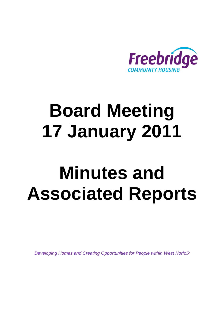

# **Board Meeting 17 January 2011**

# **Minutes and Associated Reports**

*Developing Homes and Creating Opportunities for People within West Norfolk*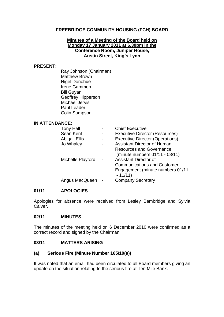#### **FREEBRIDGE COMMUNITY HOUSING (FCH) BOARD**

#### **Minutes of a Meeting of the Board held on Monday 17 January 2011 at 6.30pm in the Conference Room, Juniper House, Austin Street, King's Lynn**

#### **PRESENT:**

Ray Johnson (Chairman) Matthew Brown Nigel Donohue Irene Gammon Bill Guyan Geoffrey Hipperson Michael Jervis Paul Leader Colin Sampson

#### **IN ATTENDANCE:**

| <b>Tony Hall</b>     | <b>Chief Executive</b>                 |
|----------------------|----------------------------------------|
| Sean Kent            | <b>Executive Director (Resources)</b>  |
| <b>Abigail Ellis</b> | <b>Executive Director (Operations)</b> |
| Jo Whaley            | <b>Assistant Director of Human</b>     |
|                      | <b>Resources and Governance</b>        |
|                      | (minute numbers 01/11 - 08/11)         |
| Michelle Playford    | <b>Assistant Director of</b>           |
|                      | <b>Communications and Customer</b>     |
|                      | Engagement (minute numbers 01/11       |
|                      | $-11/11)$                              |
| Angus MacQueen -     | <b>Company Secretary</b>               |
|                      |                                        |

#### **01/11 APOLOGIES**

Apologies for absence were received from Lesley Bambridge and Sylvia Calver.

#### **02/11 MINUTES**

The minutes of the meeting held on 6 December 2010 were confirmed as a correct record and signed by the Chairman.

#### **03/11 MATTERS ARISING**

#### **(a) Serious Fire (Minute Number 165/10(a))**

It was noted that an email had been circulated to all Board members giving an update on the situation relating to the serious fire at Ten Mile Bank.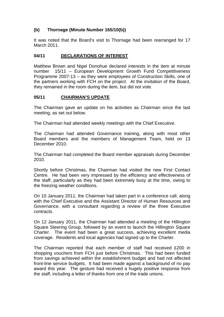#### **(b) Thornage (Minute Number 165/10(b))**

It was noted that the Board's visit to Thornage had been rearranged for 17 March 2011.

#### **04/11 DECLARATIONS OF INTEREST**

Matthew Brown and Nigel Donohue declared interests in the item at minute number 15/11 – European Development Growth Fund Competitiveness Programme 2007-13 – as they were employees of Construction Skills, one of the partners working with FCH on the project. At the invitation of the Board, they remained in the room during the item, but did not vote.

#### **05/11 CHAIRMAN'S UPDATE**

The Chairman gave an update on his activities as Chairman since the last meeting, as set out below.

The Chairman had attended weekly meetings with the Chief Executive.

The Chairman had attended Governance training, along with most other Board members and the members of Management Team, held on 13 December 2010.

The Chairman had completed the Board member appraisals during December 2010.

Shortly before Christmas, the Chairman had visited the new First Contact Centre. He had been very impressed by the efficiency and effectiveness of the staff, particularly as they had been extremely busy at the time, owing to the freezing weather conditions.

On 10 January 2011, the Chairman had taken part in a conference call, along with the Chief Executive and the Assistant Director of Human Resources and Governance, with a consultant regarding a review of the three Executive contracts.

On 12 January 2011, the Chairman had attended a meeting of the Hillington Square Steering Group, followed by an event to launch the Hillington Square Charter. The event had been a great success, achieving excellent media coverage. Residents and local agencies had signed up to the Charter.

The Chairman reported that each member of staff had received £200 in shopping vouchers from FCH just before Christmas. This had been funded from savings achieved within the establishment budget and had not affected front-line service budgets. It had been made against a background of no pay award this year. The gesture had received a hugely positive response from the staff, including a letter of thanks from one of the trade unions.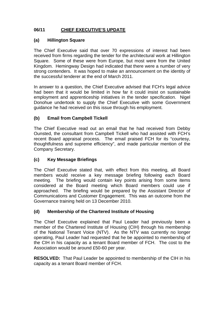#### **06/11 CHIEF EXECUTIVE'S UPDATE**

#### **(a) Hillington Square**

The Chief Executive said that over 70 expressions of interest had been received from firms regarding the tender for the architectural work at Hillington Square. Some of these were from Europe, but most were from the United Kingdom. Hemingway Design had indicated that there were a number of very strong contenders. It was hoped to make an announcement on the identity of the successful tenderer at the end of March 2011.

In answer to a question, the Chief Executive advised that FCH's legal advice had been that it would be limited in how far it could insist on sustainable employment and apprenticeship initiatives in the tender specification. Nigel Donohue undertook to supply the Chief Executive with some Government guidance he had received on this issue through his employment.

#### **(b) Email from Campbell Tickell**

The Chief Executive read out an email that he had received from Debby Ounsted, the consultant from Campbell Tickell who had assisted with FCH's recent Board appraisal process. The email praised FCH for its "courtesy, thoughtfulness and supreme efficiency", and made particular mention of the Company Secretary.

#### **(c) Key Message Briefings**

The Chief Executive stated that, with effect from this meeting, all Board members would receive a key message briefing following each Board meeting. The briefing would contain key points arising from some items considered at the Board meeting which Board members could use if approached. The briefing would be prepared by the Assistant Director of Communications and Customer Engagement. This was an outcome from the Governance training held on 13 December 2010.

#### **(d) Membership of the Chartered Institute of Housing**

The Chief Executive explained that Paul Leader had previously been a member of the Chartered Institute of Housing (CIH) through his membership of the National Tenant Voice (NTV). As the NTV was currently no longer operating, Paul Leader had requested that he be appointed to membership of the CIH in his capacity as a tenant Board member of FCH. The cost to the Association would be around £50-60 per year.

**RESOLVED:** That Paul Leader be appointed to membership of the CIH in his capacity as a tenant Board member of FCH.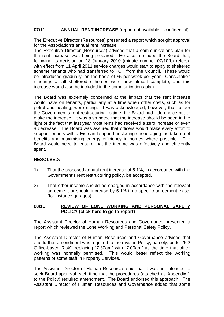#### **07/11 ANNUAL RENT INCREASE** (report not available – confidential)

The Executive Director (Resources) presented a report which sought approval for the Association's annual rent increase.

The Executive Director (Resources) advised that a communications plan for the rent increase was being prepared. He also reminded the Board that, following its decision on 18 January 2010 (minute number 07/10(b) refers), with effect from 11 April 2011 service charges would start to apply to sheltered scheme tenants who had transferred to FCH from the Council. These would be introduced gradually, on the basis of £5 per week per year. Consultation meetings at all sheltered schemes were now almost complete, and this increase would also be included in the communications plan.

The Board was extremely concerned at the impact that the rent increase would have on tenants, particularly at a time when other costs, such as for petrol and heating, were rising. It was acknowledged, however, that, under the Government's rent restructuring regime, the Board had little choice but to make the increase. It was also noted that the increase should be seen in the light of the fact that last year most rents had received a zero increase or even a decrease. The Board was assured that officers would make every effort to support tenants with advice and support, including encouraging the take-up of benefits and maximising energy efficiency in homes where possible. The Board would need to ensure that the income was effectively and efficiently spent.

#### **RESOLVED:**

- 1) That the proposed annual rent increase of 5.1%, in accordance with the Government's rent restructuring policy, be accepted.
- 2) That other income should be charged in accordance with the relevant agreement or should increase by 5.1% if no specific agreement exists (for instance garages).

#### **08/11 REVIEW OF LONE WORKING AND PERSONAL SAFETY POLICY [\(click here to go to report\)](#page-11-0)**

The Assistant Director of Human Resources and Governance presented a report which reviewed the Lone Working and Personal Safety Policy.

The Assistant Director of Human Resources and Governance advised that one further amendment was required to the revised Policy, namely, under "5.2 Office-based Risk", replacing "7.30am" with "7.00am" as the time that office working was normally permitted. This would better reflect the working patterns of some staff in Property Services.

The Assistant Director of Human Resources said that it was not intended to seek Board approval each time that the procedures (attached as Appendix 1 to the Policy) required amendment. The Board endorsed this approach. The Assistant Director of Human Resources and Governance added that some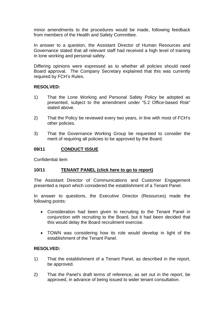minor amendments to the procedures would be made, following feedback from members of the Health and Safety Committee.

In answer to a question, the Assistant Director of Human Resources and Governance stated that all relevant staff had received a high level of training in lone working and personal safety.

Differing opinions were expressed as to whether all policies should need Board approval. The Company Secretary explained that this was currently required by FCH's Rules.

#### **RESOLVED:**

- 1) That the Lone Working and Personal Safety Policy be adopted as presented, subject to the amendment under "5.2 Office-based Risk" stated above.
- 2) That the Policy be reviewed every two years, in line with most of FCH's other policies.
- 3) That the Governance Working Group be requested to consider the merit of requiring all policies to be approved by the Board.

#### **09/11 CONDUCT ISSUE**

Confidential item

#### **10/11 TENANT PANEL [\(click here to go to report\)](#page-27-0)**

The Assistant Director of Communications and Customer Engagement presented a report which considered the establishment of a Tenant Panel.

In answer to questions, the Executive Director (Resources) made the following points:

- Consideration had been given to recruiting to the Tenant Panel in conjunction with recruiting to the Board, but it had been decided that this would delay the Board recruitment exercise.
- TOWN was considering how its role would develop in light of the establishment of the Tenant Panel.

#### **RESOLVED:**

- 1) That the establishment of a Tenant Panel, as described in the report, be approved.
- 2) That the Panel's draft terms of reference, as set out in the report, be approved, in advance of being issued to wider tenant consultation.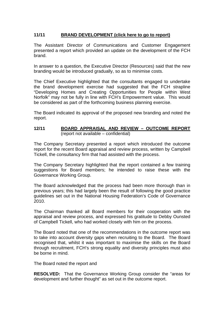#### **11/11 BRAND DEVELOPMENT [\(click here to go to report\)](#page-30-0)**

The Assistant Director of Communications and Customer Engagement presented a report which provided an update on the development of the FCH brand.

In answer to a question, the Executive Director (Resources) said that the new branding would be introduced gradually, so as to minimise costs.

The Chief Executive highlighted that the consultants engaged to undertake the brand development exercise had suggested that the FCH strapline "Developing Homes and Creating Opportunities for People within West Norfolk" may not be fully in line with FCH's Empowerment value. This would be considered as part of the forthcoming business planning exercise.

The Board indicated its approval of the proposed new branding and noted the report.

#### **12/11 BOARD APPRAISAL AND REVIEW – OUTCOME REPORT** (report not available – confidential)

The Company Secretary presented a report which introduced the outcome report for the recent Board appraisal and review process, written by Campbell Tickell, the consultancy firm that had assisted with the process.

The Company Secretary highlighted that the report contained a few training suggestions for Board members; he intended to raise these with the Governance Working Group.

The Board acknowledged that the process had been more thorough than in previous years; this had largely been the result of following the good practice guidelines set out in the National Housing Federation's Code of Governance 2010.

The Chairman thanked all Board members for their cooperation with the appraisal and review process, and expressed his gratitude to Debby Ounsted of Campbell Tickell, who had worked closely with him on the process.

The Board noted that one of the recommendations in the outcome report was to take into account diversity gaps when recruiting to the Board. The Board recognised that, whilst it was important to maximise the skills on the Board through recruitment, FCH's strong equality and diversity principles must also be borne in mind.

The Board noted the report and

**RESOLVED:** That the Governance Working Group consider the "areas for development and further thought" as set out in the outcome report.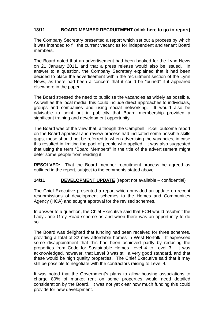#### **13/11 BOARD MEMBER RECRUITMENT [\(click here to go to report\)](#page-34-0)**

The Company Secretary presented a report which set out a process by which it was intended to fill the current vacancies for independent and tenant Board members.

The Board noted that an advertisement had been booked for the Lynn News on 21 January 2011, and that a press release would also be issued. In answer to a question, the Company Secretary explained that it had been decided to place the advertisement within the recruitment section of the Lynn News, as there had been a concern that it could be "buried" if it appeared elsewhere in the paper.

The Board stressed the need to publicise the vacancies as widely as possible. As well as the local media, this could include direct approaches to individuals, groups and companies and using social networking. It would also be advisable to point out in publicity that Board membership provided a significant training and development opportunity.

The Board was of the view that, although the Campbell Tickell outcome report on the Board appraisal and review process had indicated some possible skills gaps, these should not be referred to when advertising the vacancies, in case this resulted in limiting the pool of people who applied. It was also suggested that using the term "Board Members" in the title of the advertisement might deter some people from reading it.

**RESOLVED:** That the Board member recruitment process be agreed as outlined in the report, subject to the comments stated above.

#### **14/11 DEVELOPMENT UPDATE** (report not available – confidential)

The Chief Executive presented a report which provided an update on recent resubmissions of development schemes to the Homes and Communities Agency (HCA) and sought approval for the revised schemes.

In answer to a question, the Chief Executive said that FCH would resubmit the Lady Jane Grey Road scheme as and when there was an opportunity to do so.

The Board was delighted that funding had been received for three schemes, providing a total of 32 new affordable homes in West Norfolk. It expressed some disappointment that this had been achieved partly by reducing the properties from Code for Sustainable Homes Level 4 to Level 3. It was acknowledged, however, that Level 3 was still a very good standard, and that these would be high quality properties. The Chief Executive said that it may still be possible to negotiate with the contractors raising to Level 4.

It was noted that the Government's plans to allow housing associations to charge 80% of market rent on some properties would need detailed consideration by the Board. It was not yet clear how much funding this could provide for new development.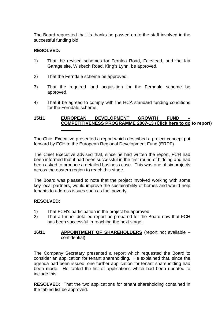The Board requested that its thanks be passed on to the staff involved in the successful funding bid.

#### **RESOLVED:**

- 1) That the revised schemes for Fernlea Road, Fairstead, and the Kia Garage site, Wisbech Road, King's Lynn, be approved.
- 2) That the Ferndale scheme be approved.
- 3) That the required land acquisition for the Ferndale scheme be approved.
- 4) That it be agreed to comply with the HCA standard funding conditions for the Ferndale scheme.

#### **15/11 EUROPEAN DEVELOPMENT GROWTH FUND – COMPETITIVENESS PROGRAMME 2007-13 [\(Click here to go to report\)](#page-36-0)**

The Chief Executive presented a report which described a project concept put forward by FCH to the European Regional Development Fund (ERDF).

The Chief Executive advised that, since he had written the report, FCH had been informed that it had been successful in the first round of bidding and had been asked to produce a detailed business case. This was one of six projects across the eastern region to reach this stage.

The Board was pleased to note that the project involved working with some key local partners, would improve the sustainability of homes and would help tenants to address issues such as fuel poverty.

#### **RESOLVED:**

- 1) That FCH's participation in the project be approved.
- 2) That a further detailed report be prepared for the Board now that FCH has been successful in reaching the next stage.

#### **16/11 APPOINTMENT OF SHAREHOLDERS** (report not available – confidential)

The Company Secretary presented a report which requested the Board to consider an application for tenant shareholding. He explained that, since the agenda had been issued, one further application for tenant shareholding had been made. He tabled the list of applications which had been updated to include this.

**RESOLVED:** That the two applications for tenant shareholding contained in the tabled list be approved.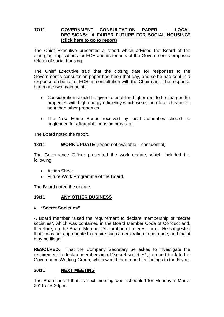#### **17/11 GOVERNMENT CONSULTATION PAPER – "LOCAL DECISIONS: A FAIRER FUTURE FOR SOCIAL HOUSING" [\(click here to go to report\)](#page-38-0)**

The Chief Executive presented a report which advised the Board of the emerging implications for FCH and its tenants of the Government's proposed reform of social housing.

The Chief Executive said that the closing date for responses to the Government's consultation paper had been that day, and so he had sent in a response on behalf of FCH, in consultation with the Chairman. The response had made two main points:

- Consideration should be given to enabling higher rent to be charged for properties with high energy efficiency which were, therefore, cheaper to heat than other properties.
- The New Home Bonus received by local authorities should be ringfenced for affordable housing provision.

The Board noted the report.

#### **18/11 WORK UPDATE** (report not available – confidential)

The Governance Officer presented the work update, which included the following:

- Action Sheet
- Future Work Programme of the Board.

The Board noted the update.

#### **19/11 ANY OTHER BUSINESS**

#### • **"Secret Societies"**

A Board member raised the requirement to declare membership of "secret societies", which was contained in the Board Member Code of Conduct and, therefore, on the Board Member Declaration of Interest form. He suggested that it was not appropriate to require such a declaration to be made, and that it may be illegal.

**RESOLVED:** That the Company Secretary be asked to investigate the requirement to declare membership of "secret societies", to report back to the Governance Working Group, which would then report its findings to the Board.

#### **20/11 NEXT MEETING**

The Board noted that its next meeting was scheduled for Monday 7 March 2011 at 6.30pm.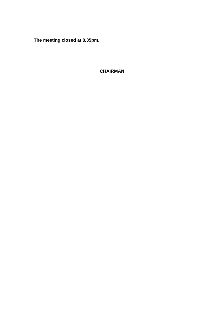**The meeting closed at 8.35pm.** 

## **CHAIRMAN**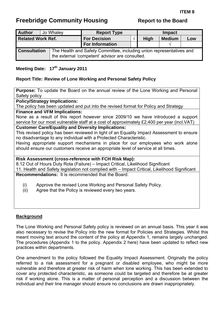# <span id="page-11-0"></span>**Freebridge Community Housing The Report to the Board**

| <b>Author</b>            | Jo Whaley |  | <b>Report Type</b>                                                                                                      |  | <b>Impact</b> |               |     |  |
|--------------------------|-----------|--|-------------------------------------------------------------------------------------------------------------------------|--|---------------|---------------|-----|--|
| <b>Related Work Ref.</b> |           |  | <b>For Decision</b>                                                                                                     |  | <b>High</b>   | <b>Medium</b> | Low |  |
|                          |           |  | <b>For Information</b>                                                                                                  |  |               |               |     |  |
| <b>Consultation</b>      |           |  | The Health and Safety Committee, including union representatives and<br>the external 'competent' advisor are consulted. |  |               |               |     |  |

#### **Meeting Date: 17th January 2011**

#### **Report Title: Review of Lone Working and Personal Safety Policy**

**Purpose:** To update the Board on the annual review of the Lone Working and Personal Safety policy

**Policy/Strategy Implications:** 

The policy has been updated and put into the revised format for Policy and Strategy

**Finance and VFM Implications:** 

None as a result of this report however since 2009/10 we have introduced a support service for our most vulnerable staff at a cost of approximately £2,400 per year (incl.VAT)

#### **Customer Care/Equality and Diversity Implications:**

This revised policy has been reviewed in light of an Equality Impact Assessment to ensure no disadvantage to any individual with a Protected Characteristic.

Having appropriate support mechanisms in place for our employees who work alone should ensure our customers receive an appropriate level of service at all times.

#### **Risk Assessment (cross-reference with FCH Risk Map):**

8.12 Out of Hours Duty Rota (Failure) – Impact Critical, Likelihood Significant 11. Health and Safety legislation not complied with – Impact Critical, Likelihood Significant **Recommendations:** It is recommended that the Board:

- (i) Approve the revised Lone Working and Personal Safety Policy.
- (ii) Agree that the Policy is reviewed every two years.

#### **Background**

The Lone Working and Personal Safety policy is reviewed on an annual basis. This year it was also necessary to revise the Policy into the new format for Policies and Strategies. Whilst this meant moving text around the content of the policy at Appendix 1, remains largely unchanged. The procedures (Appendix 1 to the policy. Appendix 2 here) have been updated to reflect new practices within departments.

One amendment to the policy followed the Equality Impact Assessment. Originally the policy referred to a risk assessment for a pregnant or disabled employee, who might be more vulnerable and therefore at greater risk of harm when lone working. This has been extended to cover any protected characteristic, as someone could be targeted and therefore be at greater risk if working alone. This is a matter of personal perception and a discussion between the individual and their line manager should ensure no conclusions are drawn inappropriately.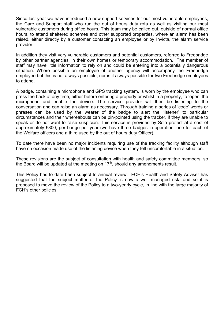Since last year we have introduced a new support services for our most vulnerable employees, the Care and Support staff who run the out of hours duty rota as well as visiting our most vulnerable customers during office hours. This team may be called out, outside of normal office hours, to attend sheltered schemes and other supported properties, where an alarm has been raised, either directly by a customer contacting an employee or by Invicta, the alarm service provider.

In addition they visit very vulnerable customers and potential customers, referred to Freebridge by other partner agencies, in their own homes or temporary accommodation. The member of staff may have little information to rely on and could be entering into a potentially dangerous situation. Where possible an employee of another agency will accompany the Freebridge employee but this is not always possible, nor is it always possible for two Freebridge employees to attend.

A badge, containing a microphone and GPS tracking system, is worn by the employee who can press the back at any time, either before entering a property or whilst in a property, to 'open' the microphone and enable the device. The service provider will then be listening to the conversation and can raise an alarm as necessary. Through training a series of 'code' words or phrases can be used by the wearer of the badge to alert the 'listener' to particular circumstances and their whereabouts can be pin-pointed using the tracker, if they are unable to speak or do not want to raise suspicion. This service is provided by Solo protect at a cost of approximately £800, per badge per year (we have three badges in operation, one for each of the Welfare officers and a third used by the out of hours duty Officer).

To date there have been no major incidents requiring use of the tracking facility although staff have on occasion made use of the listening device when they felt uncomfortable in a situation.

These revisions are the subject of consultation with health and safety committee members, so the Board will be updated at the meeting on  $17<sup>th</sup>$ , should any amendments result.

This Policy has to date been subject to annual review. FCH's Health and Safety Adviser has suggested that the subject matter of the Policy is now a well managed risk, and so it is proposed to move the review of the Policy to a two-yearly cycle, in line with the large majority of FCH's other policies.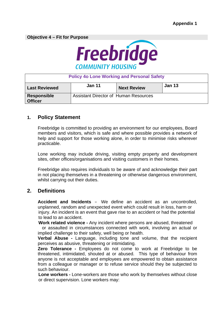**Objective 4 – Fit for Purpose** 



| <b>Policy 4o Lone Working and Personal Safety</b> |                                              |                    |               |  |  |  |  |
|---------------------------------------------------|----------------------------------------------|--------------------|---------------|--|--|--|--|
| <b>Last Reviewed</b>                              | <b>Jan 11</b>                                | <b>Next Review</b> | <b>Jan 13</b> |  |  |  |  |
| Responsible<br><b>Officer</b>                     | <b>Assistant Director of Human Resources</b> |                    |               |  |  |  |  |

#### **1. Policy Statement**

Freebridge is committed to providing an environment for our employees, Board members and visitors, which is safe and where possible provides a network of help and support for those working alone, in order to minimise risks wherever practicable.

Lone working may include driving, visiting empty property and development sites, other offices/organisations and visiting customers in their homes.

Freebridge also requires individuals to be aware of and acknowledge their part in not placing themselves in a threatening or otherwise dangerous environment, whilst carrying out their duties.

#### **2. Definitions**

**Accident and Incidents** – We define an accident as an uncontrolled, unplanned, random and unexpected event which could result in loss, harm or injury. An incident is an event that gave rise to an accident or had the potential to lead to an accident.

**Work related violence -** Any incident where persons are abused, threatened

or assaulted in circumstances connected with work, involving an actual or implied challenge to their safety, well being or health.

**Verbal Abuse -** Language, including tone and volume, that the recipient perceives as abusive, threatening or intimidating.

**Zero Tolerance -** Employees do not come to work at Freebridge to be threatened, intimidated, shouted at or abused. This type of behaviour from anyone is not acceptable and employees are empowered to obtain assistance from a colleague or manager or to refuse service should they be subjected to such behaviour.

 **Lone workers -** Lone-workers are those who work by themselves without close or direct supervision. Lone workers may: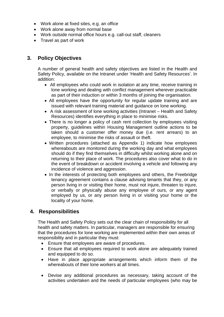- Work alone at fixed sites, e.g. an office
- Work alone away from normal base
- Work outside normal office hours e.g. call-out staff, cleaners
- Travel as part of work

### **3. Policy Objectives**

A number of general health and safety objectives are listed in the Health and Safety Policy, available on the Intranet under 'Health and Safety Resources'. In addition:

- All employees who could work in isolation at any time, receive training in lone working and dealing with conflict management wherever practicable as part of their induction or within 3 months of joining the organisation.
- All employees have the opportunity for regular update training and are issued with relevant training material and guidance on lone working.
- A risk assessment of lone working activities (Intranet Health and Safety Resources) identifies everything in place to minimise risks.
- There is no longer a policy of cash rent collection by employees visiting property, guidelines within Housing Management outline actions to be taken should a customer offer money due (i.e. rent arrears) to an employee, to minimise the risks of assault or theft.
- Written procedures (attached as Appendix 1) indicate how employees whereabouts are monitored during the working day and what employees should do if they find themselves in difficulty whilst working alone and on returning to their place of work. The procedures also cover what to do in the event of breakdown or accident involving a vehicle and following any incidence of violence and aggression.
- In the interests of protecting both employees and others, the Freebridge tenancy agreement contains a clause advising tenants that they, or any person living in or visiting their home, must not injure, threaten to injure, or verbally or physically abuse any employee of ours, or any agent employed by us, or any person living in or visiting your home or the locality of your home.

#### **4. Responsibilities**

The Health and Safety Policy sets out the clear chain of responsibility for all health and safety matters. In particular, managers are responsible for ensuring that the procedures for lone working are implemented within their own areas of responsibility and in particular they must:

- Ensure that employees are aware of procedures.
- Ensure that all employees required to work alone are adequately trained and equipped to do so.
- Have in place appropriate arrangements which inform them of the whereabouts of their lone workers at all times.
- Devise any additional procedures as necessary, taking account of the activities undertaken and the needs of particular employees (who may be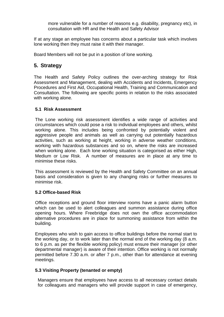more vulnerable for a number of reasons e.g. disability, pregnancy etc), in consultation with HR and the Health and Safety Advisor

If at any stage an employee has concerns about a particular task which involves lone working then they must raise it with their manager.

Board Members will not be put in a position of lone working.

### **5. Strategy**

The Health and Safety Policy outlines the over-arching strategy for Risk Assessment and Management, dealing with Accidents and Incidents, Emergency Procedures and First Aid, Occupational Health, Training and Communication and Consultation. The following are specific points in relation to the risks associated with working alone.

#### **5.1 Risk Assessment**

The Lone working risk assessment identifies a wide range of activities and circumstances which could pose a risk to individual employees and others, whilst working alone. This includes being confronted by potentially violent and aggressive people and animals as well as carrying out potentially hazardous activities, such as working at height, working in adverse weather conditions, working with hazardous substances and so on, where the risks are increased when working alone. Each lone working situation is categorised as either High, Medium or Low Risk. A number of measures are in place at any time to minimise these risks.

This assessment is reviewed by the Health and Safety Committee on an annual basis and consideration is given to any changing risks or further measures to minimise risk.

#### **5.2 Office-based Risk**

Office receptions and ground floor interview rooms have a panic alarm button which can be used to alert colleagues and summon assistance during office opening hours. Where Freebridge does not own the office accommodation alternative procedures are in place for summoning assistance from within the building.

Employees who wish to gain access to office buildings before the normal start to the working day, or to work later than the normal end of the working day (8 a.m. to 6 p.m. as per the flexible working policy) must ensure their manager (or other departmental manager) is aware of their intention. Office working is not normally permitted before 7.30 a.m. or after 7 p.m., other than for attendance at evening meetings.

#### **5.3 Visiting Property (tenanted or empty)**

Managers ensure that employees have access to all necessary contact details for colleagues and managers who will provide support in case of emergency,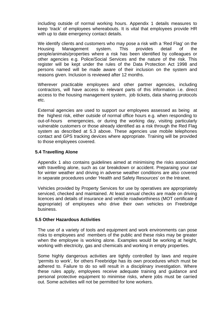including outside of normal working hours. Appendix 1 details measures to keep 'track' of employees whereabouts. It is vital that employees provide HR with up to date emergency contact details.

We identify clients and customers who may pose a risk with a 'Red Flag' on the Housing Management system. This provides detail of the people/animals/properties where a risk has been identified by colleagues or other agencies e.g. Police/Social Services and the nature of the risk. This register will be kept under the rules of the Data Protection Act 1998 and persons named will be made aware of their inclusion on the system and reasons given. Inclusion is reviewed after 12 months.

Wherever practicable employees and other partner agencies, including contractors, will have access to relevant parts of this information i.e. direct access to the housing management system, job tickets, data sharing protocols etc.

External agencies are used to support our employees assessed as being at the highest risk, either outside of normal office hours e.g. when responding to out-of-hours emergencies, or during the working day, visiting particularly vulnerable customers or those already identified as a risk through the Red Flag system as described at 5.3 above. These agencies use mobile telephones contact and GPS tracking devices where appropriate. Training will be provided to those employees covered.

#### **5.4 Travelling Alone**

Appendix 1 also contains guidelines aimed at minimising the risks associated with travelling alone, such as car breakdown or accident. Preparaing your car for winter weather and driving in adverse weather conditions are also covered in separate procedures under 'Health and Safety Resources' on the Intranet.

Vehicles provided by Property Services for use by operatives are appropriately serviced, checked and maintained. At least annual checks are made on driving licences and details of insurance and vehicle roadworthiness (MOT certificate if appropriate) of employees who drive their own vehicles on Freebridge business.

#### **5.5 Other Hazardous Activities**

The use of a variety of tools and equipment and work environments can pose risks to employees and members of the public and these risks may be greater when the employee is working alone. Examples would be working at height, working with electricity, gas and chemicals and working in empty properties.

Some highly dangerous activities are tightly controlled by laws and require 'permits to work', for others Freebridge has its own procedures which must be adhered to. Failure to do so will result in a disciplinary investigation. Where these rules apply, employees receive adequate training and guidance and personal protective equipment to minimise risks, where jobs must be carried out. Some activities will not be permitted for lone workers.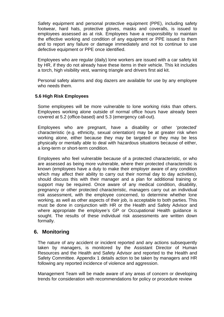Safety equipment and personal protective equipment (PPE), including safety footwear, hard hats, protective gloves, masks and coveralls, is issued to employees assessed as at risk. Employees have a responsibility to maintain the effective working and condition of any equipment or PPE issued to them and to report any failure or damage immediately and not to continue to use defective equipment or PPE once identified.

Employees who are regular (daily) lone workers are issued with a car safety kit by HR, if they do not already have these items in their vehicle. This kit includes a torch, high visibility vest, warning triangle and drivers first aid kit.

Personal safety alarms and dog dazers are available for use by any employee who needs them.

#### **5.6 High Risk Employees**

Some employees will be more vulnerable to lone working risks than others. Employees working alone outside of normal office hours have already been covered at 5.2 (office-based) and 5.3 (emergency call-out).

Employees who are pregnant, have a disability or other 'protected' characteristic (e.g. ethnicity, sexual orientation) may be at greater risk when working alone, either because they may be targeted or they may be less physically or mentally able to deal with hazardous situations because of either, a long-term or short-term condition.

Employees who feel vulnerable because of a protected characteristic, or who are assessed as being more vulnerable, where their protected characteristic is known (employees have a duty to make their employer aware of any condition which may affect their ability to carry out their normal day to day activities), should discuss this with their manager and a plan for additional training or support may be required. Once aware of any medical condition, disability, pregnancy or other protected characteristic, managers carry out an individual risk assessment, with the employee concerned, to determine whether lone working, as well as other aspects of their job, is acceptable to both parties. This must be done in conjunction with HR or the Health and Safety Advisor and where appropriate the employee's GP or Occupational Health guidance is sought. The results of these individual risk assessments are written down formally.

#### **6. Monitoring**

The nature of any accident or incident reported and any actions subsequently taken by managers, is monitored by the Assistant Director of Human Resources and the Health and Safety Advisor and reported to the Health and Safety Committee. Appendix 1 details action to be taken by managers and HR following any reported incidence of violence and aggression.

Management Team will be made aware of any areas of concern or developing trends for consideration with recommendations for policy or procedure review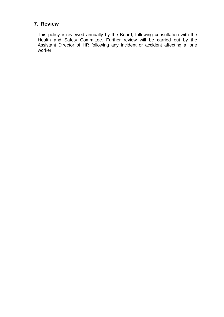## **7. Review**

This policy ir reviewed annually by the Board, following consultation with the Health and Safety Committee. Further review will be carried out by the Assistant Director of HR following any incident or accident affecting a lone worker.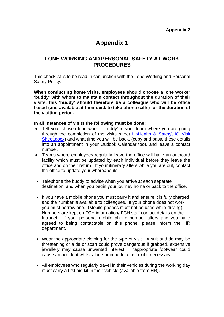# **Appendix 1**

#### **LONE WORKING AND PERSONAL SAFETY AT WORK PROCEDURES**

#### This checklist is to be read in conjunction with the Lone Working and Personal Safety Policy.

**When conducting home visits, employees should choose a lone worker 'buddy' with whom to maintain contact throughout the duration of their visits; this 'buddy' should therefore be a colleague who will be office based (and available at their desk to take phone calls) for the duration of the visiting period.** 

#### **In all instances of visits the following must be done:**

- Tell your chosen lone worker 'buddy' in your team where you are going through the completion of the visits sheet U:\Health & Safety\HO Visit Sheet.docx) and what time you will be back, (copy and paste these details into an appointment in your Outlook Calendar too), and leave a contact number.
- Teams where employees regularly leave the office will have an outboard facility which must be updated by each individual before they leave the office and on their return. If your itinerary alters while you are out, contact the office to update your whereabouts.
- Telephone the buddy to advise when you arrive at each separate destination, and when you begin your journey home or back to the office.
- If you have a mobile phone you must carry it and ensure it is fully charged and the number is available to colleagues. If your phone does not work you must borrow one. (Mobile phones must not be used while driving). Numbers are kept on FCH information/ FCH staff contact details on the Intranet. If your personal mobile phone number alters and you have agreed to being contactable on this phone, please inform the HR department.
- Wear the appropriate clothing for the type of visit. A suit and tie may be threatening or a tie or scarf could prove dangerous if grabbed, expensive jewellery may cause unwanted interest. Inappropriate footwear could cause an accident whilst alone or impede a fast exit if necessary
- All employees who regularly travel in their vehicles during the working day must carry a first aid kit in their vehicle (available from HR).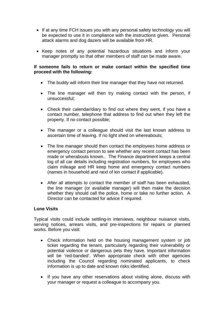- If at any time FCH issues you with any personal safety technology you will be expected to use it in compliance with the instructions given. Personal attack alarms and dog dazers will be available from HR*.*
- Keep notes of any potential hazardous situations and inform your manager promptly so that other members of staff can be made aware.

#### **If someone fails to return or make contact within the specified time proceed with the following:**

- The buddy will inform their line manager that they have not returned.
- The line manager will then try making contact with the person, if unsuccessful;
- Check their calendar/diary to find out where they went, if you have a contact number, telephone that address to find out when they left the property. If no contact possible;
- The manager or a colleague should visit the last known address to ascertain time of leaving. If no light shed on whereabouts;
- The line manager should then contact the employees home address or emergency contact person to see whether any recent contact has been made or wherabouts known.. The Finance department keeps a central log of all car details including registration numbers, for employees who claim mileage and HR keep home and emergency contact numbers (names in household and next of kin contact if applicable).
- After all attempts to contact the member of staff has been exhausted, the line manager (or available manager) will then make the decision whether they should call the police, home or take no further action. A Director can be contacted for advice if required.

#### **Lone Visits**

Typical visits could include settling-in interviews, neighbour nuisance visits, serving notices, arrears visits, and pre-inspections for repairs or planned works. Before you visit:

- Check information held on the housing management system or job ticket regarding the tenant, particularly regarding their vulnerability or potential violence or dangerous pets they have. Important information will be 'red-banded'. When appropriate check with other agencies including the Council regarding nominated applicants, to check information is up to date and known risks identified.
- If you have any other reservations about visiting alone, discuss with your manager or request a colleague to accompany you.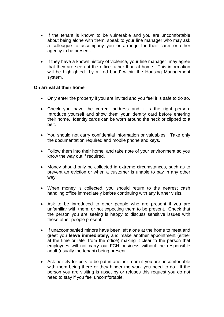- If the tenant is known to be vulnerable and you are uncomfortable about being alone with them, speak to your line manager who may ask a colleague to accompany you or arrange for their carer or other agency to be present.
- If they have a known history of violence, your line manager may agree that they are seen at the office rather than at home. This information will be highlighted by a 'red band' within the Housing Management system.

#### **On arrival at their home**

- Only enter the property if you are invited and you feel it is safe to do so.
- Check you have the correct address and it is the right person. Introduce yourself and show them your identity card before entering their home. Identity cards can be worn around the neck or clipped to a belt.
- You should not carry confidential information or valuables. Take only the documentation required and mobile phone and keys.
- Follow them into their home, and take note of your environment so you know the way out if required.
- Money should only be collected in extreme circumstances, such as to prevent an eviction or when a customer is unable to pay in any other way.
- When money is collected, you should return to the nearest cash handling office immediately before continuing with any further visits.
- Ask to be introduced to other people who are present if you are unfamiliar with them, or not expecting them to be present. Check that the person you are seeing is happy to discuss sensitive issues with these other people present.
- If unaccompanied minors have been left alone at the home to meet and greet you **leave immediately,** and make another appointment (either at the time or later from the office) making it clear to the person that employees will not carry out FCH business without the responsible adult (usually the tenant) being present.
- Ask politely for pets to be put in another room if you are uncomfortable with them being there or they hinder the work you need to do. If the person you are visiting is upset by or refuses this request you do not need to stay if you feel uncomfortable.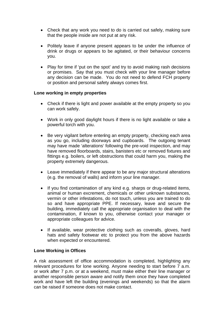- Check that any work you need to do is carried out safely, making sure that the people inside are not put at any risk.
- Politely leave if anyone present appears to be under the influence of drink or drugs or appears to be agitated, or their behaviour concerns you.
- Play for time if 'put on the spot' and try to avoid making rash decisions or promises. Say that you must check with your line manager before any decision can be made. You do not need to defend FCH property or position and personal safety always comes first.

#### **Lone working in empty properties**

- Check if there is light and power available at the empty property so you can work safely.
- Work in only good daylight hours if there is no light available or take a powerful torch with you.
- Be very vigilant before enter**i**ng an empty property, checking each area as you go, including doorways and cupboards. The outgoing tenant may have made 'alterations' following the pre-void inspection, and may have removed floorboards, stairs, banisters etc or removed fixtures and fittings e.g. boilers, or left obstructions that could harm you, making the property extremely dangerous.
- Leave immediately if there appear to be any major structural alterations (e.g. the removal of walls) and inform your line manager.
- If you find contamination of any kind e.g. sharps or drug-related items, animal or human excrement, chemicals or other unknown substances, vermin or other infestations, do not touch, unless you are trained to do so and have appropriate PPE. If necessary, leave and secure the building, immediately call the appropriate organisation to deal with the contamination, if known to you, otherwise contact your manager or appropriate colleagues for advice.
- If available, wear protective clothing such as coveralls, gloves, hard hats and safety footwear etc to protect you from the above hazards when expected or encountered.

#### **Lone Working in Offices**

A risk assessment of office accommodation is completed, highlighting any relevant procedures for lone working. Anyone needing to start before  $\overline{7}$  a.m. or work after 7 p.m. or at a weekend, must make either their line manager or another responsible person aware and notify them once they have completed work and have left the building (evenings and weekends) so that the alarm can be raised if someone does not make contact.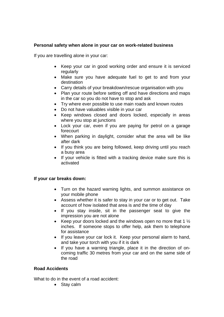#### **Personal safety when alone in your car on work-related business**

If you are travelling alone in your car:

- Keep your car in good working order and ensure it is serviced regularly
- Make sure you have adequate fuel to get to and from your destination
- Carry details of your breakdown/rescue organisation with you
- Plan your route before setting off and have directions and maps in the car so you do not have to stop and ask
- Try where ever possible to use main roads and known routes
- Do not have valuables visible in your car
- Keep windows closed and doors locked, especially in areas where you stop at junctions
- Lock your car, even if you are paying for petrol on a garage forecourt
- When parking in daylight, consider what the area will be like after dark
- If you think you are being followed, keep driving until you reach a busy area
- If your vehicle is fitted with a tracking device make sure this is activated

#### **If your car breaks down:**

- Turn on the hazard warning lights, and summon assistance on your mobile phone
- Assess whether it is safer to stay in your car or to get out. Take account of how isolated that area is and the time of day
- If you stay inside, sit in the passenger seat to give the impression you are not alone
- Keep your doors locked and the windows open no more that 1  $\frac{1}{2}$ inches. If someone stops to offer help, ask them to telephone for assistance
- If you leave your car lock it. Keep your personal alarm to hand, and take your torch with you if it is dark
- If you have a warning triangle, place it in the direction of oncoming traffic 30 metres from your car and on the same side of the road

#### **Road Accidents**

What to do in the event of a road accident:

• Stay calm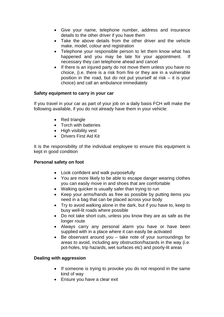- Give your name, telephone number, address and insurance details to the other driver if you have them
- Take the above details from the other driver and the vehicle make, model, colour and registration
- Telephone your responsible person to let them know what has happened and you may be late for your appointment. If necessary they can telephone ahead and cancel
- If there is an injured party do not move them unless you have no choice, (i.e. there is a risk from fire or they are in a vulnerable position in the road, but do not put yourself at risk – it is your choice) and call an ambulance immediately

#### **Safety equipment to carry in your car**

If you travel in your car as part of your job on a daily basis FCH will make the following available, if you do not already have them in your vehicle:

- Red triangle
- Torch with batteries
- High visibility vest
- Drivers First Aid Kit

It is the responsibility of the individual employee to ensure this equipment is kept in good condition

#### **Personal safety on foot**

- Look confident and walk purposefully
- You are more likely to be able to escape danger wearing clothes you can easily move in and shoes that are comfortable
- Walking quicker is usually safer than trying to run
- Keep your arms/hands as free as possible by putting items you need in a bag that can be placed across your body
- Try to avoid walking alone in the dark, but if you have to, keep to busy well-lit roads where possible
- Do not take short cuts, unless you know they are as safe as the longer route
- Always carry any personal alarm you have or have been supplied with in a place where it can easily be activated
- Be observant around you take note of your surroundings for areas to avoid, including any obstruction/hazards in the way (i.e. pot-holes, trip hazards, wet surfaces etc) and poorly-lit areas

#### **Dealing with aggression**

- If someone is trying to provoke you do not respond in the same kind of way
- Ensure you have a clear exit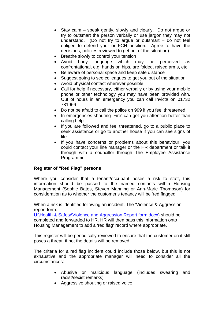- Stay calm speak gently, slowly and clearly. Do not argue or try to outsmart the person verbally or use jargon they may not understand. (Do not try to argue or outsmart – do not feel obliged to defend your or FCH position. Agree to have the decisions, policies reviewed to get out of the situation)
- Breathe slowly to control your tension
- Avoid body language which may be perceived as confrontational, e.g. hands on hips, are folded, raised arms, etc.
- Be aware of personal space and keep safe distance
- Suggest going to see colleagues to get you out of the situation
- Avoid physical contact wherever possible
- Call for help if necessary, either verbally or by using your mobile phone or other technology you may have been provided with. Out of hours in an emergency you can call Invicta on 01732 781966
- Do not be afraid to call the police on 999 if you feel threatened
- In emergencies shouting 'Fire' can get you attention better than calling help
- If you are followed and feel threatened, go to a public place to seek assistance or go to another house if you can see signs of life
- If you have concerns or problems about this behaviour, you could contact your line manager or the HR department or talk it through with a councillor through The Employee Assistance Programme

#### **Register of "Red Flag" persons**

Where you consider that a tenant/occupant poses a risk to staff, this information should be passed to the named contacts within Housing Management (Sophie Bates, Steven Manning or Ann-Marie Thompson) for consideration as to whether the customer's tenancy will be 'red flagged'.

When a risk is identified following an incident. The 'Violence & Aggression' report form:

U:\Health & Safety\Violence and Aggression Report form.docx) should be completed and forwarded to HR. HR will then pass this information onto Housing Management to add a 'red flag' record where appropriate.

This register will be periodically reviewed to ensure that the customer on it still poses a threat, if not the details will be removed.

The criteria for a red flag incident could include those below, but this is not exhaustive and the appropriate manager will need to consider all the circumstances:

- Abusive or malicious language (includes swearing and racist/sexist remarks)
- Aggressive shouting or raised voice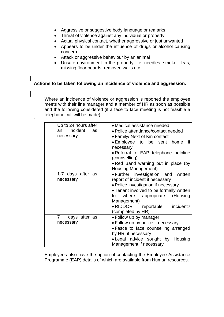- Aggressive or suggestive body language or remarks
- Threat of violence against any individual or property
- Actual physical contact, whether aggressive or just unwanted
- Appears to be under the influence of drugs or alcohol causing concern
- Attack or aggressive behaviour by an animal

`

• Unsafe environment in the property, i.e. needles, smoke, fleas, missing floor boards, removed walls etc.

#### **Actions to be taken following an incidence of violence and aggression.**

Where an incidence of violence or aggression is reported the employee meets with their line manager and a member of HR as soon as possible and the following considered (if a face to face meeting is not feasible a telephone call will be made):

| Up to 24 hours after | • Medical assistance needed                                |
|----------------------|------------------------------------------------------------|
| incident<br>an<br>as | • Police attendance/contact needed                         |
| necessary            | • Family/ Next of Kin contact                              |
|                      | • Employee to be sent home if<br>necessary                 |
|                      | • Referral to EAP telephone helpline<br>(counselling)      |
|                      | . Red Band warning put in place (by<br>Housing Management) |
| 1-7 days after as    | • Further investigation and written                        |
| necessary            | report of incident if necessary                            |
|                      | • Police investigation if necessary                        |
|                      | • Tenant involved to be formally written                   |
|                      | where appropriate<br>(Housing<br>to                        |
|                      | Management)                                                |
|                      | • RIDDOR reportable<br>incident?                           |
|                      | (completed by HR)                                          |
| 7 + days after as    | • Follow up by manager                                     |
| necessary            | • Follow up by police if necessary                         |
|                      | • Fasce to face counselling arranged                       |
|                      | by HR if necessary                                         |
|                      | . Legal advice sought by Housing                           |
|                      | Management if necessary                                    |

Employees also have the option of contacting the Employee Assistance Programme (EAP) details of which are available from Human resources.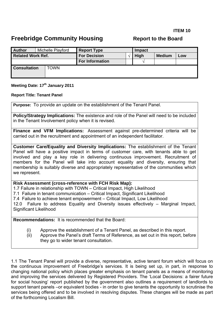#### **ITEM 10**

## <span id="page-27-0"></span>**Freebridge Community Housing The Report to the Board**

| <b>Author</b>            | Michelle Playford | <b>Report Type</b>     | Impact      |               |     |  |
|--------------------------|-------------------|------------------------|-------------|---------------|-----|--|
| <b>Related Work Ref.</b> |                   | <b>For Decision</b>    | <b>High</b> | <b>Medium</b> | Low |  |
|                          |                   | <b>For Information</b> |             |               |     |  |
| <b>Consultation</b>      | TOWN              |                        |             |               |     |  |

#### **Meeting Date: 17th January 2011**

#### **Report Title: Tenant Panel**

**Purpose:** To provide an update on the establishment of the Tenant Panel.

**Policy/Strategy Implications:** The existence and role of the Panel will need to be included in the Tenant Involvement policy when it is revised.

**Finance and VFM Implications:** Assessment against pre-determined criteria will be carried out in the recruitment and appointment of an independent facilitator.

**Customer Care/Equality and Diversity Implications:** The establishment of the Tenant Panel will have a positive impact in terms of customer care, with tenants able to get involved and play a key role in delivering continuous improvement. Recruitment of members for the Panel will take into account equality and diversity, ensuring that membership is suitably diverse and appropriately representative of the communities which we represent.

**Risk Assessment (cross-reference with FCH Risk Map):** 

1.7 Failure in relationship with TOWN – Critical Impact, High Likelihood

7.1 Failure in tenant communication – Critical Impact, Significant Likelihood

7.4 Failure to achieve tenant empowerment – Critical Impact, Low Likelihood

12.0 Failure to address Equality and Diversity issues effectively – Marginal Impact, Significant Likelihood

**Recommendations:** It is recommended that the Board:

(i) Approve the establishment of a Tenant Panel, as described in this report.

(ii) Approve the Panel's draft Terms of Reference, as set out in this report, before they go to wider tenant consultation.

1.1 The Tenant Panel will provide a diverse, representative, active tenant forum which will focus on the continuous improvement of Freebridge's services. It is being set up, in part, in response to changing national policy which places greater emphasis on tenant panels as a means of monitoring and improving the services delivered by Registered Providers. The 'Local Decisions: a fairer future for social housing' report published by the government also outlines a requirement of landlords to support tenant panels –or equivalent bodies - in order to give tenants the opportunity to scrutinise the services being offered and to be involved in resolving disputes. These changes will be made as part of the forthcoming Localism Bill.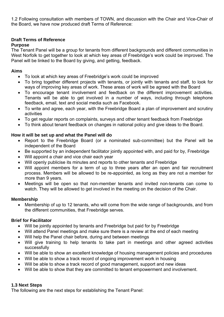1.2 Following consultation with members of TOWN, and discussion with the Chair and Vice-Chair of the Board, we have now produced draft Terms of Reference:

#### **Draft Terms of Reference Purpose**

#### The Tenant Panel will be a group for tenants from different backgrounds and different communities in West Norfolk to get together to look at which key areas of Freebridge's work could be improved. The Panel will be linked to the Board by giving, and getting, feedback.

#### **Aims**

- To look at which key areas of Freebridge's work could be improved
- To bring together different projects with tenants, or jointly with tenants and staff, to look for ways of improving key areas of work. These areas of work will be agreed with the Board
- To encourage tenant involvement and feedback on the different improvement activities. Tenants will be able to get involved in a number of ways, including through telephone feedback, email, text and social media such as Facebook.
- To write and agree, each year, with the Freebridge Board a plan of improvement and scrutiny activities
- To get regular reports on complaints, surveys and other tenant feedback from Freebridge
- To think about tenant feedback on changes in national policy and give ideas to the Board.

#### **How it will be set up and what the Panel will do**

- Report to the Freebridge Board (or a nominated sub-committee) but the Panel will be independent of the Board
- Be supported by an independent facilitator jointly appointed with, and paid for by, Freebridge
- Will appoint a chair and vice chair each year
- Will openly publicise its minutes and reports to other tenants and Freebridge
- Will appoint members for a term of up to three years after an open and fair recruitment process. Members will be allowed to be re-appointed, as long as they are not a member for more than 9 years.
- Meetings will be open so that non-member tenants and invited non-tenants can come to watch. They will be allowed to get involved in the meeting on the decision of the Chair.

#### **Membership**

• Membership of up to 12 tenants, who will come from the wide range of backgrounds, and from the different communities, that Freebridge serves.

#### **Brief for Facilitator**

- Will be jointly appointed by tenants and Freebridge but paid for by Freebridge
- Will attend Panel meetings and make sure there is a review at the end of each meeting
- Will help the Panel chair before, during and between meetings
- Will give training to help tenants to take part in meetings and other agreed activities successfully
- Will be able to show an excellent knowledge of housing management policies and procedures
- Will be able to show a track record of ongoing improvement work in housing
- Will be able to show a track record of good management, support and new ideas
- Will be able to show that they are committed to tenant empowerment and involvement.

#### **1.3 Next Steps**

The following are the next steps for establishing the Tenant Panel: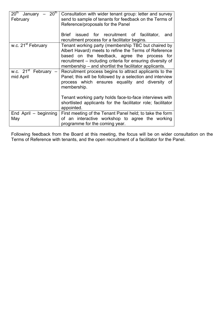| 20 <sup>th</sup><br>20 <sup>th</sup><br>January<br>February | Consultation with wider tenant group: letter and survey<br>send to sample of tenants for feedback on the Terms of<br>Reference/proposals for the Panel                                                                                                                               |
|-------------------------------------------------------------|--------------------------------------------------------------------------------------------------------------------------------------------------------------------------------------------------------------------------------------------------------------------------------------|
|                                                             | Brief issued for recruitment of facilitator,<br>and<br>recruitment process for a facilitator begins.                                                                                                                                                                                 |
| w.c. 21 <sup>st</sup> February                              | Tenant working party (membership TBC but chaired by<br>Albert Havard) meets to refine the Terms of Reference<br>based on the feedback, agree the process for<br>recruitment – including criteria for ensuring diversity of<br>membership – and shortlist the facilitator applicants. |
| w.c. $21^{\rm st}$<br>February $-$<br>mid April             | Recruitment process begins to attract applicants to the<br>Panel; this will be followed by a selection and interview<br>process which ensures equality and diversity of<br>membership.                                                                                               |
|                                                             | Tenant working party holds face-to-face interviews with<br>shortlisted applicants for the facilitator role; facilitator<br>appointed.                                                                                                                                                |
| End April - beginning<br>May                                | First meeting of the Tenant Panel held; to take the form<br>of an interactive workshop to agree the working<br>programme for the coming year.                                                                                                                                        |

Following feedback from the Board at this meeting, the focus will be on wider consultation on the Terms of Reference with tenants, and the open recruitment of a facilitator for the Panel.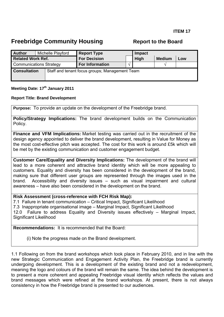## <span id="page-30-0"></span>**Freebridge Community Housing The Report to the Board**

| <b>Author</b>                  |  | Michelle Playford | <b>Report Type</b>                             | Impact |             |               |     |
|--------------------------------|--|-------------------|------------------------------------------------|--------|-------------|---------------|-----|
| <b>Related Work Ref.</b>       |  |                   | <b>For Decision</b>                            |        | <b>High</b> | <b>Medium</b> | Low |
| <b>Communications Strategy</b> |  |                   | <b>For Information</b>                         |        |             |               |     |
| <b>Consultation</b>            |  |                   | Staff and tenant focus groups; Management Team |        |             |               |     |

#### **Meeting Date: 17th January 2011**

#### **Report Title: Brand Development**

**Purpose:** To provide an update on the development of the Freebridge brand.

**Policy/Strategy Implications:** The brand development builds on the Communication Policy.

**Finance and VFM Implications:** Market testing was carried out in the recruitment of the design agency appointed to deliver the brand development, resulting in Value for Money as the most cost-effective pitch was accepted. The cost for this work is around £5k which will be met by the existing communication and customer engagement budget.

**Customer Care/Equality and Diversity Implications:** The development of the brand will lead to a more coherent and attractive brand identity which will be more appealing to customers. Equality and diversity has been considered in the development of the brand, making sure that different user groups are represented through the images used in the brand. Accessibility and diversity issues – such as visual impairment and cultural awareness – have also been considered in the development on the brand.

#### **Risk Assessment (cross-reference with FCH Risk Map):**

7.1 Failure in tenant communication – Critical Impact, Significant Likelihood 7.3 Inappropriate organisational image – Marginal Impact, Significant Likelihood 12.0 Failure to address Equality and Diversity issues effectively – Marginal Impact, Significant Likelihood

**Recommendations:** It is recommended that the Board:

(i) Note the progress made on the Brand development.

1.1 Following on from the brand workshops which took place in February 2010, and in line with the new Strategic Communication and Engagement Activity Plan, the Freebridge brand is currently undergoing development. This is a development of the existing brand and not a redevelopment, meaning the logo and colours of the brand will remain the same. The idea behind the development is to present a more coherent and appealing Freebridge visual identity which reflects the values and brand messages which were refined at the brand workshops. At present, there is not always consistency in how the Freebridge brand is presented to our audiences.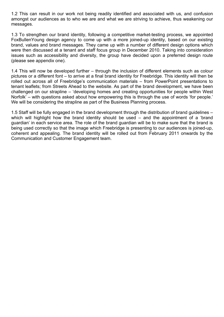1.2 This can result in our work not being readily identified and associated with us, and confusion amongst our audiences as to who we are and what we are striving to achieve, thus weakening our messages.

1.3 To strengthen our brand identity, following a competitive market-testing process, we appointed FoxBullenYoung design agency to come up with a more joined-up identity, based on our existing brand, values and brand messages. They came up with a number of different design options which were then discussed at a tenant and staff focus group in December 2010. Taking into consideration issues such as accessibility and diversity, the group have decided upon a preferred design route (please see appendix one).

1.4 This will now be developed further – through the inclusion of different elements such as colour pictures or a different font – to arrive at a final brand identity for Freebridge. This identity will then be rolled out across all of Freebridge's communication materials – from PowerPoint presentations to tenant leaflets; from Streets Ahead to the website. As part of the brand development, we have been challenged on our strapline – 'developing homes and creating opportunities for people within West Norfolk' – with questions asked about how empowering this is through the use of words 'for people.' We will be considering the strapline as part of the Business Planning process.

1.5 Staff will be fully engaged in the brand development through the distribution of brand guidelines – which will highlight how the brand identity should be used – and the appointment of a 'brand guardian' in each service area. The role of the brand guardian will be to make sure that the brand is being used correctly so that the image which Freebridge is presenting to our audiences is joined-up, coherent and appealing. The brand identity will be rolled out from February 2011 onwards by the Communication and Customer Engagement team.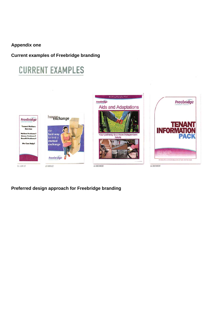#### **Appendix one**

#### **Current examples of Freebridge branding**

# **CURRENT EXAMPLES**



#### **Preferred design approach for Freebridge branding**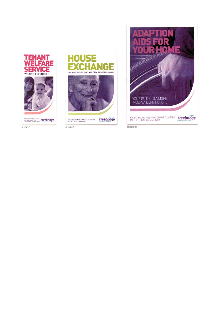



AS BOOKLET



 $\mathbb{F}_{\frac{1}{2}}$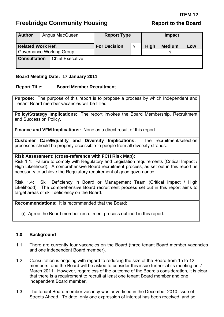# <span id="page-34-0"></span>**Freebridge Community Housing The Report to the Board Report to the Board**

| <b>Author</b>                   |  | Angus MacQueen         | <b>Report Type</b> |             |               |     |  |
|---------------------------------|--|------------------------|--------------------|-------------|---------------|-----|--|
| <b>Related Work Ref.</b>        |  | <b>For Decision</b>    | $\Delta$           | <b>High</b> | <b>Medium</b> | Low |  |
| <b>Governance Working Group</b> |  |                        |                    |             |               | ٦Ι  |  |
| <b>Consultation</b>             |  | <b>Chief Executive</b> |                    |             |               |     |  |

#### **Board Meeting Date: 17 January 2011**

#### **Report Title: Board Member Recruitment**

**Purpose:** The purpose of this report is to propose a process by which Independent and Tenant Board member vacancies will be fillled.

**Policy/Strategy Implications:** The report invokes the Board Membership, Recruitment and Succession Policy.

**Finance and VFM Implications:** None as a direct result of this report.

**Customer Care/Equality and Diversity Implications:** The recruitment/selection processes should be properly accessible to people from all diversity strands.

#### **Risk Assessment: (cross-reference with FCH Risk Map):**

Risk 1.1: Failure to comply with Regulatory and Legislation requirements (Critical Impact / High Likelihood). A comprehensive Board recruitment process, as set out in this report, is necessary to achieve the Regulatory requirement of good governance.

Risk 1.4: Skill Deficiency in Board or Management Team (Critical Impact / High Likelihood). The comprehensive Board recruitment process set out in this report aims to target areas of skill deficiency on the Board.

**Recommendations:** It is recommended that the Board:

(i) Agree the Board member recruitment process outlined in this report.

#### **1.0 Background**

- 1.1 There are currently four vacancies on the Board (three tenant Board member vacancies and one independent Board member).
- 1.2 Consultation is ongoing with regard to reducing the size of the Board from 15 to 12 members, and the Board will be asked to consider this issue further at its meeting on 7 March 2011. However, regardless of the outcome of the Board's consideration, it is clear that there is a requirement to recruit at least one tenant Board member and one independent Board member.
- 1.3 The tenant Board member vacancy was advertised in the December 2010 issue of Streets Ahead. To date, only one expression of interest has been received, and so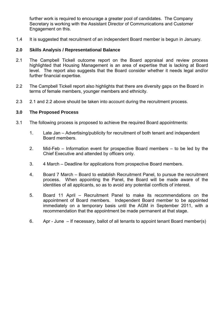further work is required to encourage a greater pool of candidates. The Company Secretary is working with the Assistant Director of Communications and Customer Engagement on this.

1.4 It is suggested that recruitment of an independent Board member is begun in January.

#### **2.0 Skills Analysis / Representational Balance**

- 2.1 The Campbell Tickell outcome report on the Board appraisal and review process highlighted that Housing Management is an area of expertise that is lacking at Board level. The report also suggests that the Board consider whether it needs legal and/or further financial expertise.
- 2.2 The Campbell Tickell report also highlights that there are diversity gaps on the Board in terms of female members, younger members and ethnicity.
- 2.3 2.1 and 2.2 above should be taken into account during the recruitment process.

#### **3.0 The Proposed Process**

- 3.1 The following process is proposed to achieve the required Board appointments:
	- 1. Late Jan Advertising/publicity for recruitment of both tenant and independent Board members.
	- 2. Mid-Feb Information event for prospective Board members to be led by the Chief Executive and attended by officers only.
	- 3. 4 March Deadline for applications from prospective Board members.
	- 4. Board 7 March Board to establish Recruitment Panel, to pursue the recruitment process. When appointing the Panel, the Board will be made aware of the identities of all applicants, so as to avoid any potential conflicts of interest.
	- 5. Board 11 April Recruitment Panel to make its recommendations on the appointment of Board members. Independent Board member to be appointed immediately on a temporary basis until the AGM in September 2011, with a recommendation that the appointment be made permanent at that stage.
	- 6. Apr June If necessary, ballot of all tenants to appoint tenant Board member(s)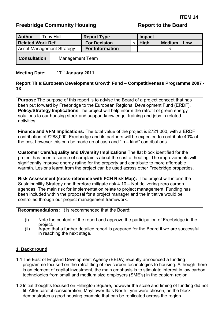## <span id="page-36-0"></span>**Freebridge Community Housing Community Freebridge Community Housing Report to the Board**

| <b>Author</b>                    |  | <b>Tony Hall</b>       | <b>Report Type</b>     |  | <b>Impact</b> |               |     |
|----------------------------------|--|------------------------|------------------------|--|---------------|---------------|-----|
| <b>Related Work Ref.</b>         |  |                        | <b>For Decision</b>    |  | <b>High</b>   | <b>Medium</b> | Low |
| <b>Asset Management Strategy</b> |  |                        | <b>For Information</b> |  |               | $\mathcal{N}$ |     |
| <b>Consultation</b>              |  | <b>Management Team</b> |                        |  |               |               |     |

#### **Meeting Date: 17th January 2011**

#### **Report Title: European Development Growth Fund – Competitiveness Programme 2007 - 13**

**Purpose** The purpose of this report is to advise the Board of a project concept that has been put forward by Freebridge to the European Regional Development Fund (ERDF). **Policy/Strategy Implications** The project will help inform the retrofit of green energy solutions to our housing stock and support knowledge, training and jobs in related activities.

**Finance and VFM Implications:** The total value of the project is £721,000, with a ERDF contribution of £288,000. Freebridge and its partners will be expected to contribute 40% of the cost however this can be made up of cash and "in – kind" contributions.

**Customer Care/Equality and Diversity Implications** The flat block identified for the project has been a source of complaints about the cost of heating. The improvements will significantly improve energy rating for the property and contribute to more affordable warmth. Lesions learnt from the project can be used across other Freebridge properties.

**Risk Assessment (cross-reference with FCH Risk Map):** The project will inform the Sustainability Strategy and therefore mitigate risk 4.10 – Not delivering zero carbon agendas. The main risk for implementation relate to project management. Funding has been included within the proposal for a project manager and the initiative would be controlled through our project management framework.

**Recommendations:** It is recommended that the Board:

- (i) Note the content of the report and approve the participation of Freebridge in th e project.
- in reaching the next stage. (ii) Agree that a further detailed report is prepared for the Board if we are successful

#### **1. Background**

- 1.1 The East of England Development Agency (EEDA) recently announced a funding programme focused on the retrofitting of low carbon technologies to housing. Although there is an element of capital investment, the main emphasis is to stimulate interest in low carbon technologies from small and medium size employers (SME's) in the eastern region.
- 1.2 Initial thoughts focused on Hillington Square, however the scale and timing of funding did not fit. After careful consideration, Mayflower flats North Lynn were chosen, as the block demonstrates a good housing example that can be replicated across the region.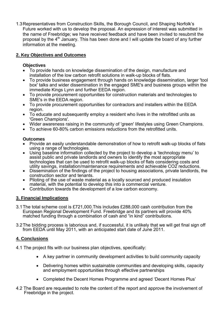1.3 Representatives from Construction Skills, the Borough Council, and Shaping Norfolk's Future worked with us to develop the proposal. An expression of interest was submitted in the name of Freebridge; we have received feedback and have been invited to resubmit the proposal by the 4th January. This has been done and I will update the board of any further information at the meeting.

#### **2. Key Objectives and Outcomes**

#### **Objectives**

- To provide hands on knowledge dissemination of the design, manufacture and installation of the low carbon retrofit solutions in walk-up blocks of flats.
- To provide business engagement through hands on knowledge dissemination, larger 'tool box' talks and wider dissemination in the engaged SME's and business groups within the immediate Kings Lynn and further EEDA region.
- To provide procurement opportunities for construction materials and technologies to SME's in the EEDA region.
- To provide procurement opportunities for contractors and installers within the EEDA region.
- To educate and subsequently employ a resident who lives in the retrofitted units as 'Green Champions'.
- Wider awareness raising in the community of 'green' lifestyles using Green Champions.
- To achieve 60-80% carbon emissions reductions from the retrofitted units.

#### **Outcomes**

- Provide an easily understandable demonstration of how to retrofit walk-up blocks of flats using a range of technologies.
- Using baseline information collected by the project to develop a 'technology menu' to assist public and private landlords and owners to identify the most appropriate technologies that can be used to retrofit walk-up blocks of flats considering costs and utility savings, installation/maintenance requirements and achievable CO2 reductions.
- Dissemination of the findings of the project to housing associations, private landlords, the construction sector and tenants.
- Piloting of the use of waste material as a locally sourced and produced insulation material, with the potential to develop this into a commercial venture.
- Contribution towards the development of a low carbon economy.

#### **3. Financial Implications**

- 3.1 The total scheme cost is £721,000.This includes £288,000 cash contribution from the European Regional Development Fund. Freebridge and its partners will provide 40% matched funding through a combination of cash and "in kind" contributions.
- 3.2 The bidding process is laborious and, if successful, it is unlikely that we will get final sign off from EEDA until May 2011, with an anticipated start date of June 2011.

#### **4. Conclusions**

- 4.1 The project fits with our business plan objectives, specifically:
	- A key partner in community development activities to build community capacity
	- Delivering homes within sustainable communities and developing skills, capacity and employment opportunities through effective partnerships
	- Completed the Decent Homes Programme and agreed 'Decent Homes Plus'
- 4.2 The Board are requested to note the content of the report and approve the involvement of Freebridge in the project.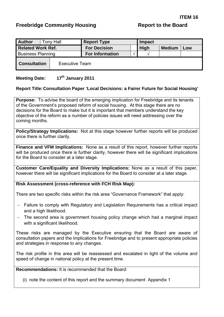#### <span id="page-38-0"></span>**Freebridge Community Housing Community Freebridge Community Housing Report to the Board**

| <b>Author</b>                                |  | <b>Tony Hall</b> | <b>Report Type</b>     |  | Impact      |               |     |
|----------------------------------------------|--|------------------|------------------------|--|-------------|---------------|-----|
| <b>Related Work Ref.</b>                     |  |                  | <b>For Decision</b>    |  | <b>High</b> | <b>Medium</b> | Low |
| <b>Business Planning</b>                     |  |                  | <b>For Information</b> |  |             |               |     |
| <b>Consultation</b><br><b>Executive Team</b> |  |                  |                        |  |             |               |     |

#### **Meeting Date: 17th January 2011**

#### **Report Title: Consultation Paper 'Local Decisions: a Fairer Future for Social Housing'**

**Purpose:** To advise the board of the emerging implication for Freebridge and its tenants of the Government's proposed reform of social housing. At this stage there are no decisions for the Board to make but it is important that members understand the key objective of the reform as a number of policies issues will need addressing over the coming months.

**Policy/Strategy Implications:** Not at this stage however further reports will be produced once there is further clarity.

**Finance and VFM Implications:** None as a result of this report, however further reports will be produced once there is further clarity, however there will be significant implications for the Board to consider at a later stage.

**Customer Care/Equality and Diversity Implications:** None as a result of this paper, however there will be significant implications for the Board to consider at a later stage.

**Risk Assessment (cross-reference with FCH Risk Map):** 

There are two specific risks within the risk area "Governance Framework" that apply:

- − Failure to comply with Regulatory and Legislation Requirements has a critical impact and a high likelihood.
- − The second area is government housing policy change which had a marginal impact with a significant likelihood.

These risks are managed by the Executive ensuring that the Board are aware of consultation papers and the implications for Freebridge and to present appropriate policies and strategies in response to any changes.

The risk profile in this area will be reassessed and escalated in light of the volume and speed of change in national policy at the present time.

**Recommendations:** It is recommended that the Board:

(i) note the content of this report and the summary document Appendix 1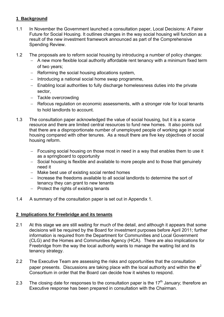#### **1 Background**

- 1.1 In November the Government launched a consultation paper, Local Decisions: A Fairer Future for Social Housing. It outlines changes in the way social housing will function as a result of the new investment framework announced as part of the Comprehensive Spending Review.
- 1.2 The proposals are to reform social housing by introducing a number of policy changes:
	- − A new more flexible local authority affordable rent tenancy with a minimum fixed term of two years;
	- − Reforming the social housing allocations system,
	- − Introducing a national social home swap programme,
	- − Enabling local authorities to fully discharge homelessness duties into the private sector,
	- − Tackle overcrowding
	- − Refocus regulation on economic assessments, with a stronger role for local tenants to hold landlords to account.
- 1.3 The consultation paper acknowledged the value of social housing, but it is a scarce resource and there are limited central resources to fund new homes. It also points out that there are a disproportionate number of unemployed people of working age in social housing compared with other tenures. As a result there are five key objectives of social housing reform.
	- − Focusing social housing on those most in need in a way that enables them to use it as a springboard to opportunity
	- − Social housing is flexible and available to more people and to those that genuinely need it
	- − Make best use of existing social rented homes
	- − Increase the freedoms available to all social landlords to determine the sort of tenancy they can grant to new tenants
	- − Protect the rights of existing tenants
- 1.4 A summary of the consultation paper is set out in Appendix 1.

#### **2 Implications for Freebridge and its tenants**

- 2.1 At this stage we are still waiting for much of the detail, and although it appears that some decisions will be required by the Board for investment purposes before April 2011; further information is required from the Department for Communities and Local Government (CLG) and the Homes and Communities Agency (HCA). There are also implications for Freebridge from the way the local authority wants to manage the waiting list and its tenancy strategy.
- 2.2 The Executive Team are assessing the risks and opportunities that the consultation paper presents. Discussions are taking place with the local authority and within the  $e^2$ Consortium in order that the Board can decide how it wishes to respond.
- 2.3 The closing date for responses to the consultation paper is the  $17<sup>th</sup>$  January; therefore an Executive response has been prepared in consultation with the Chairman.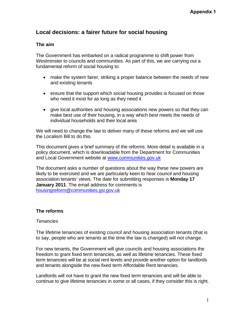## **Local decisions: a fairer future for social housing**

#### **The aim**

The Government has embarked on a radical programme to shift power from Westminster to councils and communities. As part of this, we are carrying out a fundamental reform of social housing to:

- make the system fairer, striking a proper balance between the needs of new and existing tenants
- ensure that the support which social housing provides is focused on those who need it most for as long as they need it
- give local authorities and housing associations new powers so that they can make best use of their housing, in a way which best meets the needs of individual households and their local area

We will need to change the law to deliver many of these reforms and we will use the Localism Bill to do this.

This document gives a brief summary of the reforms. More detail is available in a policy document, which is downloadable from the Department for Communities and Local Government website at [www.communities.gov.uk](http://www.communities.gov.uk/)

The document asks a number of questions about the way these new powers are likely to be exercised and we are particularly keen to hear council and housing association tenants' views. The date for submitting responses is **Monday 17 January 2011**. The email address for comments is [housingreform@communities.gsi.gov.uk](mailto:housingreform@communities.gsi.gov.uk)

#### **The reforms**

#### *Tenancies*

The lifetime tenancies of existing council and housing association tenants (that is to say, people who are tenants at the time the law is changed) will not change.

For new tenants, the Government will give councils and housing associations the freedom to grant fixed term tenancies, as well as lifetime tenancies. These fixed term tenancies will be at social rent levels and provide another option for landlords and tenants alongside the new fixed term Affordable Rent tenancies.

Landlords will not have to grant the new fixed term tenancies and will be able to continue to give lifetime tenancies in some or all cases, if they consider this is right.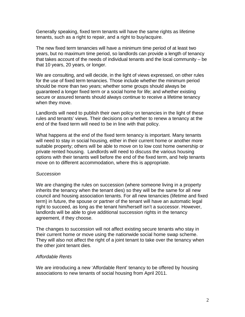Generally speaking, fixed term tenants will have the same rights as lifetime tenants, such as a right to repair, and a right to buy/acquire.

The new fixed term tenancies will have a minimum time period of at least two years, but no maximum time period, so landlords can provide a length of tenancy that takes account of the needs of individual tenants and the local community – be that 10 years, 20 years, or longer.

We are consulting, and will decide, in the light of views expressed, on other rules for the use of fixed term tenancies. Those include whether the minimum period should be more than two years; whether some groups should always be guaranteed a longer fixed term or a social home for life; and whether existing secure or assured tenants should always continue to receive a lifetime tenancy when they move.

Landlords will need to publish their own policy on tenancies in the light of these rules and tenants' views. Their decisions on whether to renew a tenancy at the end of the fixed term will need to be in line with that policy.

What happens at the end of the fixed term tenancy is important. Many tenants will need to stay in social housing, either in their current home or another more suitable property; others will be able to move on to low cost home ownership or private rented housing. Landlords will need to discuss the various housing options with their tenants well before the end of the fixed term, and help tenants move on to different accommodation, where this is appropriate.

#### *Succession*

We are changing the rules on succession (where someone living in a property inherits the tenancy when the tenant dies) so they will be the same for all new council and housing association tenants. For all new tenancies (lifetime and fixed term) in future, the spouse or partner of the tenant will have an automatic legal right to succeed, as long as the tenant him/herself isn't a successor. However, landlords will be able to give additional succession rights in the tenancy agreement, if they choose.

The changes to succession will not affect existing secure tenants who stay in their current home or move using the nationwide social home swap scheme. They will also not affect the right of a joint tenant to take over the tenancy when the other joint tenant dies.

#### *Affordable Rents*

We are introducing a new 'Affordable Rent' tenancy to be offered by housing associations to new tenants of social housing from April 2011.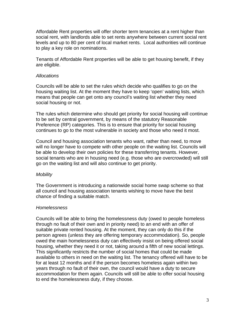Affordable Rent properties will offer shorter term tenancies at a rent higher than social rent, with landlords able to set rents anywhere between current social rent levels and up to 80 per cent of local market rents. Local authorities will continue to play a key role on nominations.

Tenants of Affordable Rent properties will be able to get housing benefit, if they are eligible.

#### *Allocations*

Councils will be able to set the rules which decide who qualifies to go on the housing waiting list. At the moment they have to keep 'open' waiting lists, which means that people can get onto any council's waiting list whether they need social housing or not.

The rules which determine who should get priority for social housing will continue to be set by central government, by means of the statutory Reasonable Preference (RP) categories. This is to ensure that priority for social housing continues to go to the most vulnerable in society and those who need it most.

Council and housing association tenants who want, rather than need, to move will no longer have to compete with other people on the waiting list. Councils will be able to develop their own policies for these transferring tenants. However, social tenants who are in housing need (e.g. those who are overcrowded) will still go on the waiting list and will also continue to get priority.

#### *Mobility*

The Government is introducing a nationwide social home swap scheme so that all council and housing association tenants wishing to move have the best chance of finding a suitable match.

#### *Homelessness*

Councils will be able to bring the homelessness duty (owed to people homeless through no fault of their own and in priority need) to an end with an offer of suitable private rented housing. At the moment, they can only do this if the person agrees (unless they are offering temporary accommodation). So, people owed the main homelessness duty can effectively insist on being offered social housing, whether they need it or not, taking around a fifth of new social lettings. This significantly restricts the number of social homes that could be made available to others in need on the waiting list. The tenancy offered will have to be for at least 12 months and if the person becomes homeless again within two years through no fault of their own, the council would have a duty to secure accommodation for them again. Councils will still be able to offer social housing to end the homelessness duty, if they choose.